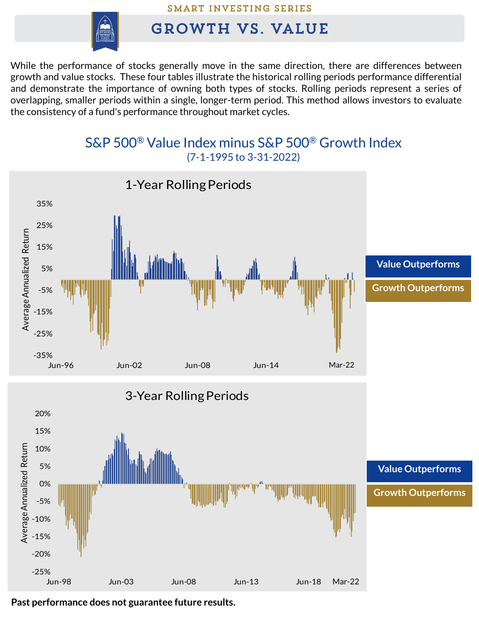## **SMART INVESTING SERIES**



## **GROWTH VS. VALUE**

While the performance of stocks generally move in the same direction, there are differences between growth and value stocks. These four tables illustrate the historical rolling periods performance differential and demonstrate the importance of owning both types of stocks. Rolling periods represent a series of overlapping, smaller periods within a single, longer-term period. This method allows investors to evaluate the consistency of a fund's performance throughout market cycles.

## S&P 500® Value Index minus S&P 500® Growth Index (7-1-1995 to 3-31-2022)



**Past performance does not guarantee future results.**